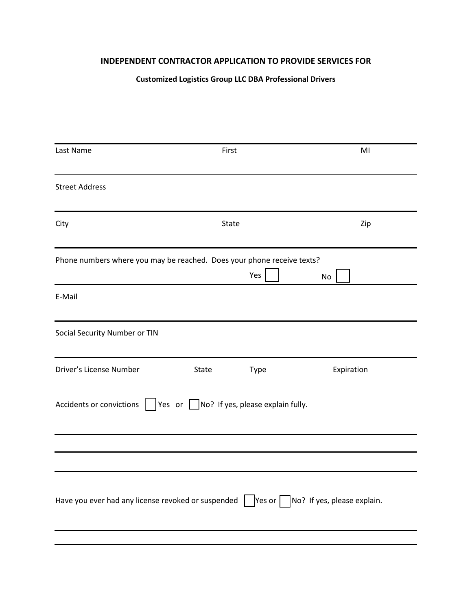## **INDEPENDENT CONTRACTOR APPLICATION TO PROVIDE SERVICES FOR**

## **Customized Logistics Group LLC DBA Professional Drivers**

| Last Name                     | First                                                                                                       | MI         |
|-------------------------------|-------------------------------------------------------------------------------------------------------------|------------|
| <b>Street Address</b>         |                                                                                                             |            |
| City                          | State                                                                                                       | Zip        |
|                               | Phone numbers where you may be reached. Does your phone receive texts?<br>Yes                               | No         |
| E-Mail                        |                                                                                                             |            |
| Social Security Number or TIN |                                                                                                             |            |
| Driver's License Number       | Type<br>State                                                                                               | Expiration |
| Accidents or convictions      | Yes or $\Box$ No? If yes, please explain fully.                                                             |            |
|                               |                                                                                                             |            |
|                               | Have you ever had any license revoked or suspended   $\sqrt{$ Yes or $\sqrt{ }$ No? If yes, please explain. |            |
|                               |                                                                                                             |            |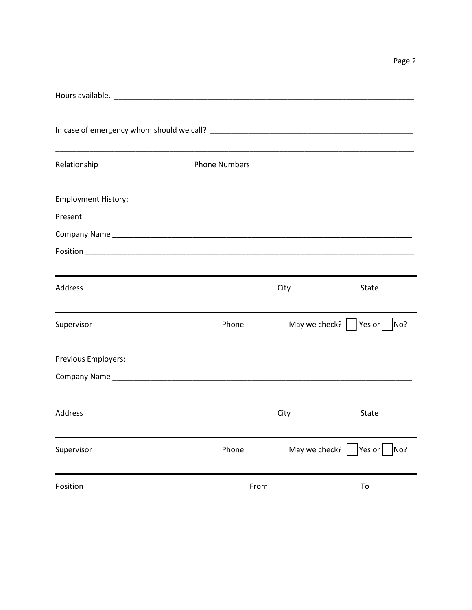| Relationship               | <b>Phone Numbers</b> |      |                                                |
|----------------------------|----------------------|------|------------------------------------------------|
| <b>Employment History:</b> |                      |      |                                                |
| Present                    |                      |      |                                                |
|                            |                      |      |                                                |
|                            |                      |      |                                                |
| Address                    |                      | City | State                                          |
| Supervisor                 | Phone                |      | May we check? $\vert \ \vert$<br>Yes or<br>No? |
| Previous Employers:        |                      |      |                                                |
|                            |                      |      |                                                |
| <b>Address</b>             |                      | City | State                                          |
| Supervisor                 | Phone                |      | May we check? $ $ Yes or $ $<br>No?            |
| Position                   | From                 |      | To                                             |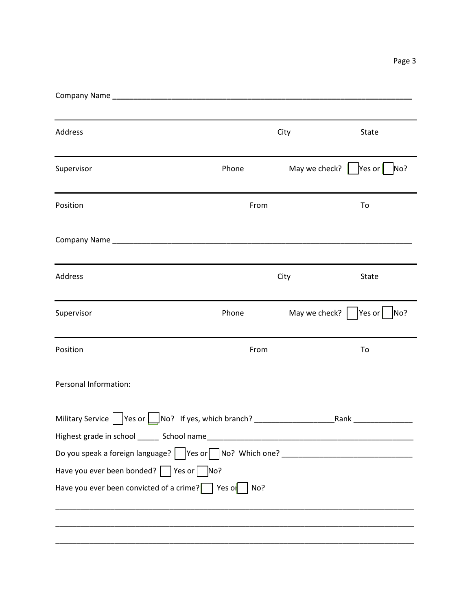Page 3

| Address                                                                          |       | City | State                            |
|----------------------------------------------------------------------------------|-------|------|----------------------------------|
| Supervisor                                                                       | Phone |      | May we check?<br>Yes or<br>No?   |
| Position                                                                         | From  |      | To                               |
|                                                                                  |       |      |                                  |
| Address                                                                          |       | City | State                            |
| Supervisor                                                                       | Phone |      | May we check?<br> Yes or <br>No? |
| Position                                                                         | From  |      | To                               |
| Personal Information:                                                            |       |      |                                  |
| Military Service   Yes or   No? If yes, which branch? __________________________ |       |      | Rank <b>Rank Rank</b>            |
|                                                                                  |       |      |                                  |
| Have you ever been bonded? $\Box$ Yes or $\Box$ No?                              |       |      |                                  |
| Have you ever been convicted of a crime? $\Box$ Yes or $\Box$ No?                |       |      |                                  |
|                                                                                  |       |      |                                  |
|                                                                                  |       |      |                                  |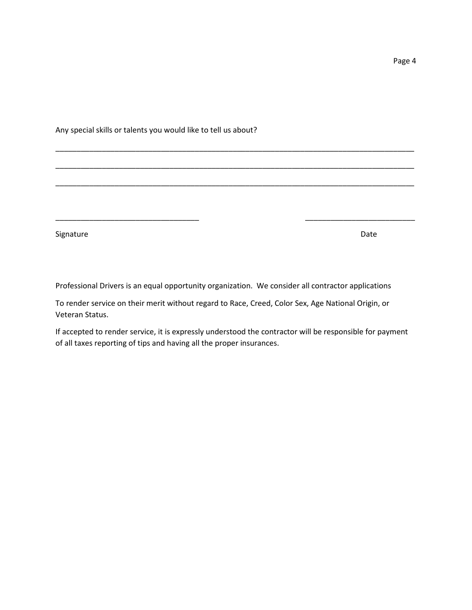Any special skills or talents you would like to tell us about?

Signature Date **Date** 

Professional Drivers is an equal opportunity organization. We consider all contractor applications

\_\_\_\_\_\_\_\_\_\_\_\_\_\_\_\_\_\_\_\_\_\_\_\_\_\_\_\_\_\_\_\_\_\_\_\_\_\_\_\_\_\_\_\_\_\_\_\_\_\_\_\_\_\_\_\_\_\_\_\_\_\_\_\_\_\_\_\_\_\_\_\_\_\_\_\_\_\_\_\_\_\_\_\_\_

\_\_\_\_\_\_\_\_\_\_\_\_\_\_\_\_\_\_\_\_\_\_\_\_\_\_\_\_\_\_\_\_\_\_\_\_\_\_\_\_\_\_\_\_\_\_\_\_\_\_\_\_\_\_\_\_\_\_\_\_\_\_\_\_\_\_\_\_\_\_\_\_\_\_\_\_\_\_\_\_\_\_\_\_\_

\_\_\_\_\_\_\_\_\_\_\_\_\_\_\_\_\_\_\_\_\_\_\_\_\_\_\_\_\_\_\_\_\_\_\_\_\_\_\_\_\_\_\_\_\_\_\_\_\_\_\_\_\_\_\_\_\_\_\_\_\_\_\_\_\_\_\_\_\_\_\_\_\_\_\_\_\_\_\_\_\_\_\_\_\_

\_\_\_\_\_\_\_\_\_\_\_\_\_\_\_\_\_\_\_\_\_\_\_\_\_\_\_\_\_\_\_\_\_\_ \_\_\_\_\_\_\_\_\_\_\_\_\_\_\_\_\_\_\_\_\_\_\_\_\_\_

To render service on their merit without regard to Race, Creed, Color Sex, Age National Origin, or Veteran Status.

If accepted to render service, it is expressly understood the contractor will be responsible for payment of all taxes reporting of tips and having all the proper insurances.